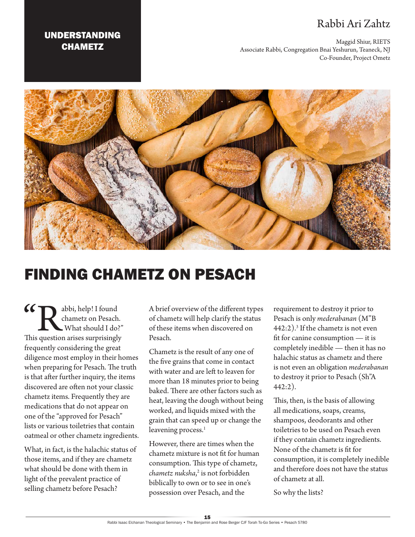## Rabbi Ari Zahtz

Maggid Shiur, RIETS Associate Rabbi, Congregation Bnai Yeshurun, Teaneck, NJ Co-Founder, Project Ometz





## FINDING CHAMETZ ON PESACH

**CC** abbi, help! I found chametz on Pesach.<br>
What should I do?"<br>
This question arises surprisingly chametz on Pesach. What should I do?" frequently considering the great diligence most employ in their homes when preparing for Pesach. The truth is that after further inquiry, the items discovered are often not your classic chametz items. Frequently they are medications that do not appear on one of the "approved for Pesach" lists or various toiletries that contain oatmeal or other chametz ingredients.

What, in fact, is the halachic status of those items, and if they are chametz what should be done with them in light of the prevalent practice of selling chametz before Pesach?

A brief overview of the different types of chametz will help clarify the status of these items when discovered on Pesach.

Chametz is the result of any one of the five grains that come in contact with water and are left to leaven for more than 18 minutes prior to being baked. There are other factors such as heat, leaving the dough without being worked, and liquids mixed with the grain that can speed up or change the leavening process.<sup>1</sup>

However, there are times when the chametz mixture is not fit for human consumption. This type of chametz, *chametz nuksha*, 2 is not forbidden biblically to own or to see in one's possession over Pesach, and the

requirement to destroy it prior to Pesach is only *mederabanan* (M"B 442:2).3 If the chametz is not even fit for canine consumption — it is completely inedible — then it has no halachic status as chametz and there is not even an obligation *mederabanan* to destroy it prior to Pesach (Sh"A 442:2).

This, then, is the basis of allowing all medications, soaps, creams, shampoos, deodorants and other toiletries to be used on Pesach even if they contain chametz ingredients. None of the chametz is fit for consumption, it is completely inedible and therefore does not have the status of chametz at all.

So why the lists?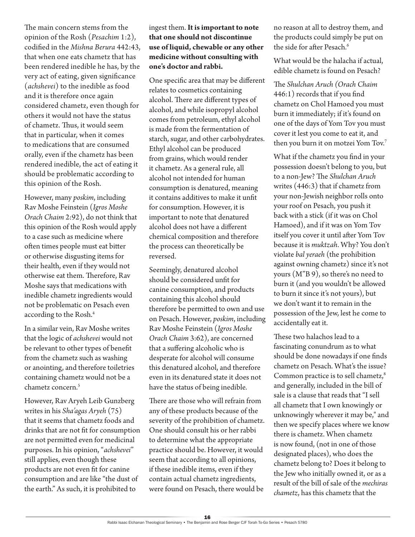The main concern stems from the opinion of the Rosh (*Pesachim* 1:2), codified in the *Mishna Berura* 442:43, that when one eats chametz that has been rendered inedible he has, by the very act of eating, given significance (*achshevei*) to the inedible as food and it is therefore once again considered chametz, even though for others it would not have the status of chametz. Thus, it would seem that in particular, when it comes to medications that are consumed orally, even if the chametz has been rendered inedible, the act of eating it should be problematic according to this opinion of the Rosh.

However, many *poskim*, including Rav Moshe Feinstein (*Igros Moshe Orach Chaim* 2:92), do not think that this opinion of the Rosh would apply to a case such as medicine where often times people must eat bitter or otherwise disgusting items for their health, even if they would not otherwise eat them. Therefore, Rav Moshe says that medications with inedible chametz ingredients would not be problematic on Pesach even according to the Rosh.4

In a similar vein, Rav Moshe writes that the logic of *achshevei* would not be relevant to other types of benefit from the chametz such as washing or anointing, and therefore toiletries containing chametz would not be a chametz concern.5

However, Rav Aryeh Leib Gunzberg writes in his *Sha'agas Aryeh* (75) that it seems that chametz foods and drinks that are not fit for consumption are not permitted even for medicinal purposes. In his opinion, "*achshevei*" still applies, even though these products are not even fit for canine consumption and are like "the dust of the earth." As such, it is prohibited to

## ingest them. **It is important to note that one should not discontinue use of liquid, chewable or any other medicine without consulting with one's doctor and rabbi.**

One specific area that may be different relates to cosmetics containing alcohol. There are different types of alcohol, and while isopropyl alcohol comes from petroleum, ethyl alcohol is made from the fermentation of starch, sugar, and other carbohydrates. Ethyl alcohol can be produced from grains, which would render it chametz. As a general rule, all alcohol not intended for human consumption is denatured, meaning it contains additives to make it unfit for consumption. However, it is important to note that denatured alcohol does not have a different chemical composition and therefore the process can theoretically be reversed.

Seemingly, denatured alcohol should be considered unfit for canine consumption, and products containing this alcohol should therefore be permitted to own and use on Pesach. However, *poskim*, including Rav Moshe Feinstein (*Igros Moshe Orach Chaim* 3:62), are concerned that a suffering alcoholic who is desperate for alcohol will consume this denatured alcohol, and therefore even in its denatured state it does not have the status of being inedible.

There are those who will refrain from any of these products because of the severity of the prohibition of chametz. One should consult his or her rabbi to determine what the appropriate practice should be. However, it would seem that according to all opinions, if these inedible items, even if they contain actual chametz ingredients, were found on Pesach, there would be

no reason at all to destroy them, and the products could simply be put on the side for after Pesach.<sup>6</sup>

What would be the halacha if actual, edible chametz is found on Pesach?

The *Shulchan Aruch (Orach Chaim* 446:1) records that if you find chametz on Chol Hamoed you must burn it immediately; if it's found on one of the days of Yom Tov you must cover it lest you come to eat it, and then you burn it on motzei Yom Tov.7

What if the chametz you find in your possession doesn't belong to you, but to a non-Jew? The *Shulchan Aruch* writes (446:3) that if chametz from your non-Jewish neighbor rolls onto your roof on Pesach, you push it back with a stick (if it was on Chol Hamoed), and if it was on Yom Tov itself you cover it until after Yom Tov because it is *muktzah*. Why? You don't violate *bal yeraeh* (the prohibition against owning chametz) since it's not yours (M"B 9), so there's no need to burn it (and you wouldn't be allowed to burn it since it's not yours), but we don't want it to remain in the possession of the Jew, lest he come to accidentally eat it.

These two halachos lead to a fascinating conundrum as to what should be done nowadays if one finds chametz on Pesach. What's the issue? Common practice is to sell chametz,<sup>8</sup> and generally, included in the bill of sale is a clause that reads that "I sell all chametz that I own knowingly or unknowingly wherever it may be," and then we specify places where we know there is chametz. When chametz is now found, (not in one of those designated places), who does the chametz belong to? Does it belong to the Jew who initially owned it, or as a result of the bill of sale of the *mechiras chametz*, has this chametz that the